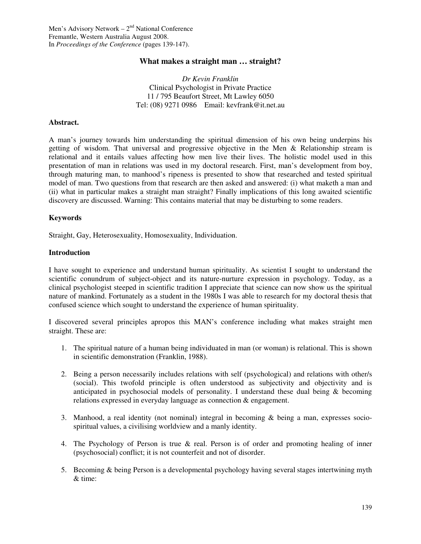## **What makes a straight man … straight?**

*Dr Kevin Franklin*  Clinical Psychologist in Private Practice 11 / 795 Beaufort Street, Mt Lawley 6050 Tel: (08) 9271 0986 Email: kevfrank@it.net.au

### **Abstract.**

A man's journey towards him understanding the spiritual dimension of his own being underpins his getting of wisdom. That universal and progressive objective in the Men & Relationship stream is relational and it entails values affecting how men live their lives. The holistic model used in this presentation of man in relations was used in my doctoral research. First, man's development from boy, through maturing man, to manhood's ripeness is presented to show that researched and tested spiritual model of man. Two questions from that research are then asked and answered: (i) what maketh a man and (ii) what in particular makes a straight man straight? Finally implications of this long awaited scientific discovery are discussed. Warning: This contains material that may be disturbing to some readers.

### **Keywords**

Straight, Gay, Heterosexuality, Homosexuality, Individuation.

### **Introduction**

I have sought to experience and understand human spirituality. As scientist I sought to understand the scientific conundrum of subject-object and its nature-nurture expression in psychology. Today, as a clinical psychologist steeped in scientific tradition I appreciate that science can now show us the spiritual nature of mankind. Fortunately as a student in the 1980s I was able to research for my doctoral thesis that confused science which sought to understand the experience of human spirituality.

I discovered several principles apropos this MAN's conference including what makes straight men straight. These are:

- 1. The spiritual nature of a human being individuated in man (or woman) is relational. This is shown in scientific demonstration (Franklin, 1988).
- 2. Being a person necessarily includes relations with self (psychological) and relations with other/s (social). This twofold principle is often understood as subjectivity and objectivity and is anticipated in psychosocial models of personality. I understand these dual being & becoming relations expressed in everyday language as connection & engagement.
- 3. Manhood, a real identity (not nominal) integral in becoming & being a man, expresses sociospiritual values, a civilising worldview and a manly identity.
- 4. The Psychology of Person is true & real. Person is of order and promoting healing of inner (psychosocial) conflict; it is not counterfeit and not of disorder.
- 5. Becoming & being Person is a developmental psychology having several stages intertwining myth & time: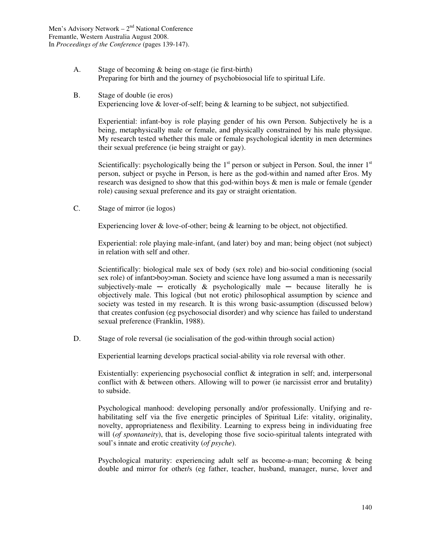- A. Stage of becoming & being on-stage (ie first-birth) Preparing for birth and the journey of psychobiosocial life to spiritual Life.
- B. Stage of double (ie eros) Experiencing love & lover-of-self; being & learning to be subject, not subjectified.

Experiential: infant-boy is role playing gender of his own Person. Subjectively he is a being, metaphysically male or female, and physically constrained by his male physique. My research tested whether this male or female psychological identity in men determines their sexual preference (ie being straight or gay).

Scientifically: psychologically being the  $1<sup>st</sup>$  person or subject in Person. Soul, the inner  $1<sup>st</sup>$ person, subject or psyche in Person, is here as the god-within and named after Eros. My research was designed to show that this god-within boys & men is male or female (gender role) causing sexual preference and its gay or straight orientation.

C. Stage of mirror (ie logos)

Experiencing lover & love-of-other; being & learning to be object, not objectified.

Experiential: role playing male-infant, (and later) boy and man; being object (not subject) in relation with self and other.

Scientifically: biological male sex of body (sex role) and bio-social conditioning (social sex role) of infant>boy>man. Society and science have long assumed a man is necessarily subjectively-male  $-$  erotically  $\&$  psychologically male  $-$  because literally he is objectively male. This logical (but not erotic) philosophical assumption by science and society was tested in my research. It is this wrong basic-assumption (discussed below) that creates confusion (eg psychosocial disorder) and why science has failed to understand sexual preference (Franklin, 1988).

D. Stage of role reversal (ie socialisation of the god-within through social action)

Experiential learning develops practical social-ability via role reversal with other.

Existentially: experiencing psychosocial conflict  $\&$  integration in self; and, interpersonal conflict with & between others. Allowing will to power (ie narcissist error and brutality) to subside.

Psychological manhood: developing personally and/or professionally. Unifying and rehabilitating self via the five energetic principles of Spiritual Life: vitality, originality, novelty, appropriateness and flexibility. Learning to express being in individuating free will (*of spontaneity*), that is, developing those five socio-spiritual talents integrated with soul's innate and erotic creativity (*of psyche*).

Psychological maturity: experiencing adult self as become-a-man; becoming & being double and mirror for other/s (eg father, teacher, husband, manager, nurse, lover and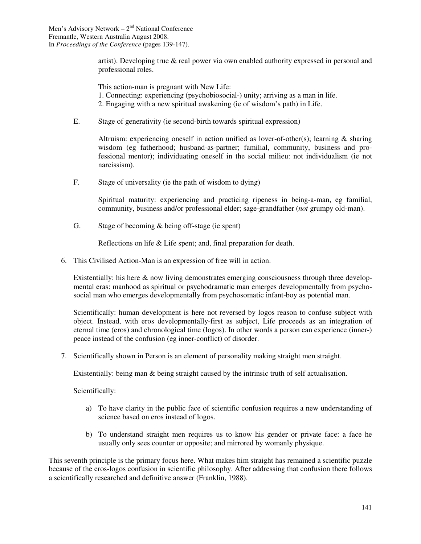artist). Developing true & real power via own enabled authority expressed in personal and professional roles.

This action-man is pregnant with New Life:

- 1. Connecting: experiencing (psychobiosocial-) unity; arriving as a man in life.
- 2. Engaging with a new spiritual awakening (ie of wisdom's path) in Life.
- E. Stage of generativity (ie second-birth towards spiritual expression)

Altruism: experiencing oneself in action unified as lover-of-other(s); learning & sharing wisdom (eg fatherhood; husband-as-partner; familial, community, business and professional mentor); individuating oneself in the social milieu: not individualism (ie not narcissism).

F. Stage of universality (ie the path of wisdom to dying)

Spiritual maturity: experiencing and practicing ripeness in being-a-man, eg familial, community, business and/or professional elder; sage-grandfather (*not* grumpy old-man).

G. Stage of becoming & being off-stage (ie spent)

Reflections on life & Life spent; and, final preparation for death.

6. This Civilised Action-Man is an expression of free will in action.

Existentially: his here & now living demonstrates emerging consciousness through three developmental eras: manhood as spiritual or psychodramatic man emerges developmentally from psychosocial man who emerges developmentally from psychosomatic infant-boy as potential man.

Scientifically: human development is here not reversed by logos reason to confuse subject with object. Instead, with eros developmentally-first as subject, Life proceeds as an integration of eternal time (eros) and chronological time (logos). In other words a person can experience (inner-) peace instead of the confusion (eg inner-conflict) of disorder.

7. Scientifically shown in Person is an element of personality making straight men straight.

Existentially: being man & being straight caused by the intrinsic truth of self actualisation.

Scientifically:

- a) To have clarity in the public face of scientific confusion requires a new understanding of science based on eros instead of logos.
- b) To understand straight men requires us to know his gender or private face: a face he usually only sees counter or opposite; and mirrored by womanly physique.

This seventh principle is the primary focus here. What makes him straight has remained a scientific puzzle because of the eros-logos confusion in scientific philosophy. After addressing that confusion there follows a scientifically researched and definitive answer (Franklin, 1988).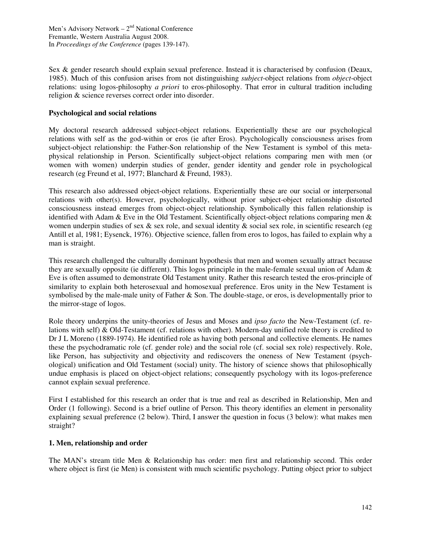Sex & gender research should explain sexual preference. Instead it is characterised by confusion (Deaux, 1985). Much of this confusion arises from not distinguishing *subject*-object relations from *object*-object relations: using logos-philosophy *a priori* to eros-philosophy. That error in cultural tradition including religion & science reverses correct order into disorder.

## **Psychological and social relations**

My doctoral research addressed subject-object relations. Experientially these are our psychological relations with self as the god-within or eros (ie after Eros). Psychologically consciousness arises from subject-object relationship: the Father-Son relationship of the New Testament is symbol of this metaphysical relationship in Person. Scientifically subject-object relations comparing men with men (or women with women) underpin studies of gender, gender identity and gender role in psychological research (eg Freund et al, 1977; Blanchard & Freund, 1983).

This research also addressed object-object relations. Experientially these are our social or interpersonal relations with other(s). However, psychologically, without prior subject-object relationship distorted consciousness instead emerges from object-object relationship. Symbolically this fallen relationship is identified with Adam & Eve in the Old Testament. Scientifically object-object relations comparing men & women underpin studies of sex  $\&$  sex role, and sexual identity  $\&$  social sex role, in scientific research (eg Antill et al, 1981; Eysenck, 1976). Objective science, fallen from eros to logos, has failed to explain why a man is straight.

This research challenged the culturally dominant hypothesis that men and women sexually attract because they are sexually opposite (ie different). This logos principle in the male-female sexual union of Adam & Eve is often assumed to demonstrate Old Testament unity. Rather this research tested the eros-principle of similarity to explain both heterosexual and homosexual preference. Eros unity in the New Testament is symbolised by the male-male unity of Father  $\&$  Son. The double-stage, or eros, is developmentally prior to the mirror-stage of logos.

Role theory underpins the unity-theories of Jesus and Moses and *ipso facto* the New-Testament (cf. relations with self) & Old-Testament (cf. relations with other). Modern-day unified role theory is credited to Dr J L Moreno (1889-1974). He identified role as having both personal and collective elements. He names these the psychodramatic role (cf. gender role) and the social role (cf. social sex role) respectively. Role, like Person, has subjectivity and objectivity and rediscovers the oneness of New Testament (psychological) unification and Old Testament (social) unity. The history of science shows that philosophically undue emphasis is placed on object-object relations; consequently psychology with its logos-preference cannot explain sexual preference.

First I established for this research an order that is true and real as described in Relationship, Men and Order (1 following). Second is a brief outline of Person. This theory identifies an element in personality explaining sexual preference (2 below). Third, I answer the question in focus (3 below): what makes men straight?

## **1. Men, relationship and order**

The MAN's stream title Men & Relationship has order: men first and relationship second. This order where object is first (ie Men) is consistent with much scientific psychology. Putting object prior to subject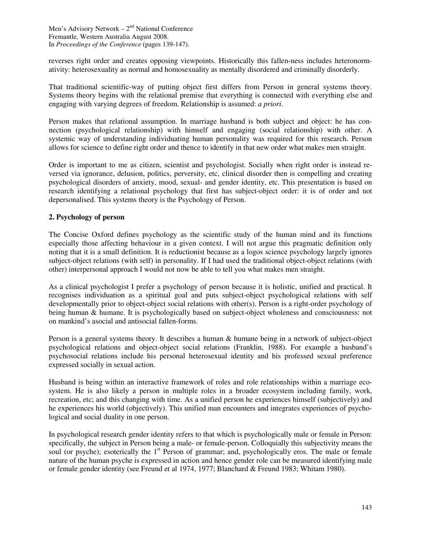reverses right order and creates opposing viewpoints. Historically this fallen-ness includes heteronormativity: heterosexuality as normal and homosexuality as mentally disordered and criminally disorderly.

That traditional scientific-way of putting object first differs from Person in general systems theory. Systems theory begins with the relational premise that everything is connected with everything else and engaging with varying degrees of freedom. Relationship is assumed: *a priori*.

Person makes that relational assumption. In marriage husband is both subject and object: he has connection (psychological relationship) with himself and engaging (social relationship) with other. A systemic way of understanding individuating human personality was required for this research. Person allows for science to define right order and thence to identify in that new order what makes men straight.

Order is important to me as citizen, scientist and psychologist. Socially when right order is instead reversed via ignorance, delusion, politics, perversity, etc, clinical disorder then is compelling and creating psychological disorders of anxiety, mood, sexual- and gender identity, etc. This presentation is based on research identifying a relational psychology that first has subject-object order: it is of order and not depersonalised. This systems theory is the Psychology of Person.

# **2. Psychology of person**

The Concise Oxford defines psychology as the scientific study of the human mind and its functions especially those affecting behaviour in a given context. I will not argue this pragmatic definition only noting that it is a small definition. It is reductionist because as a logos science psychology largely ignores subject-object relations (with self) in personality. If I had used the traditional object-object relations (with other) interpersonal approach I would not now be able to tell you what makes men straight.

As a clinical psychologist I prefer a psychology of person because it is holistic, unified and practical. It recognises individuation as a spiritual goal and puts subject-object psychological relations with self developmentally prior to object-object social relations with other(s). Person is a right-order psychology of being human & humane. It is psychologically based on subject-object wholeness and consciousness: not on mankind's asocial and antisocial fallen-forms.

Person is a general systems theory. It describes a human & humane being in a network of subject-object psychological relations and object-object social relations (Franklin, 1988). For example a husband's psychosocial relations include his personal heterosexual identity and his professed sexual preference expressed socially in sexual action.

Husband is being within an interactive framework of roles and role relationships within a marriage ecosystem. He is also likely a person in multiple roles in a broader ecosystem including family, work, recreation, etc; and this changing with time. As a unified person he experiences himself (subjectively) and he experiences his world (objectively). This unified man encounters and integrates experiences of psychological and social duality in one person.

In psychological research gender identity refers to that which is psychologically male or female in Person: specifically, the subject in Person being a male- or female-person. Colloquially this subjectivity means the soul (or psyche); esoterically the 1<sup>st</sup> Person of grammar; and, psychologically eros. The male or female nature of the human psyche is expressed in action and hence gender role can be measured identifying male or female gender identity (see Freund et al 1974, 1977; Blanchard & Freund 1983; Whitam 1980).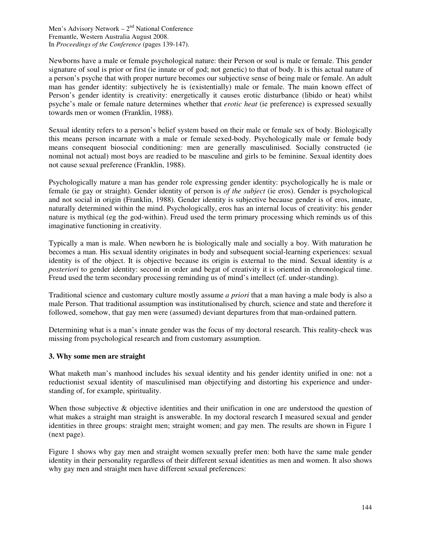Newborns have a male or female psychological nature: their Person or soul is male or female. This gender signature of soul is prior or first (ie innate or of god; not genetic) to that of body. It is this actual nature of a person's psyche that with proper nurture becomes our subjective sense of being male or female. An adult man has gender identity: subjectively he is (existentially) male or female. The main known effect of Person's gender identity is creativity: energetically it causes erotic disturbance (libido or heat) whilst psyche's male or female nature determines whether that *erotic heat* (ie preference) is expressed sexually towards men or women (Franklin, 1988).

Sexual identity refers to a person's belief system based on their male or female sex of body. Biologically this means person incarnate with a male or female sexed-body. Psychologically male or female body means consequent biosocial conditioning: men are generally masculinised. Socially constructed (ie nominal not actual) most boys are readied to be masculine and girls to be feminine. Sexual identity does not cause sexual preference (Franklin, 1988).

Psychologically mature a man has gender role expressing gender identity: psychologically he is male or female (ie gay or straight). Gender identity of person is *of the subject* (ie eros). Gender is psychological and not social in origin (Franklin, 1988). Gender identity is subjective because gender is of eros, innate, naturally determined within the mind. Psychologically, eros has an internal locus of creativity: his gender nature is mythical (eg the god-within). Freud used the term primary processing which reminds us of this imaginative functioning in creativity.

Typically a man is male. When newborn he is biologically male and socially a boy. With maturation he becomes a man. His sexual identity originates in body and subsequent social-learning experiences: sexual identity is of the object. It is objective because its origin is external to the mind. Sexual identity is *a posteriori* to gender identity: second in order and begat of creativity it is oriented in chronological time. Freud used the term secondary processing reminding us of mind's intellect (cf. under-standing).

Traditional science and customary culture mostly assume *a priori* that a man having a male body is also a male Person. That traditional assumption was institutionalised by church, science and state and therefore it followed, somehow, that gay men were (assumed) deviant departures from that man-ordained pattern.

Determining what is a man's innate gender was the focus of my doctoral research. This reality-check was missing from psychological research and from customary assumption.

## **3. Why some men are straight**

What maketh man's manhood includes his sexual identity and his gender identity unified in one: not a reductionist sexual identity of masculinised man objectifying and distorting his experience and understanding of, for example, spirituality.

When those subjective  $\&$  objective identities and their unification in one are understood the question of what makes a straight man straight is answerable. In my doctoral research I measured sexual and gender identities in three groups: straight men; straight women; and gay men. The results are shown in Figure 1 (next page).

Figure 1 shows why gay men and straight women sexually prefer men: both have the same male gender identity in their personality regardless of their different sexual identities as men and women. It also shows why gay men and straight men have different sexual preferences: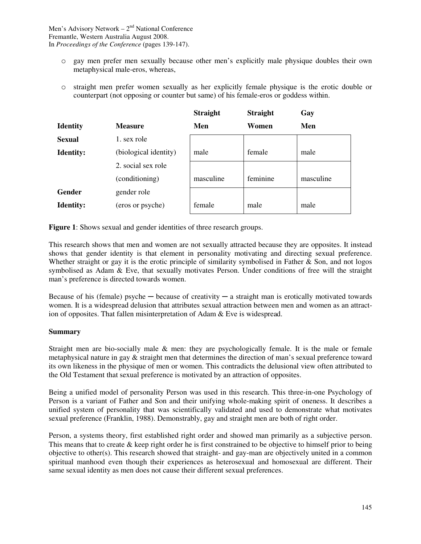- o gay men prefer men sexually because other men's explicitly male physique doubles their own metaphysical male-eros, whereas,
- o straight men prefer women sexually as her explicitly female physique is the erotic double or counterpart (not opposing or counter but same) of his female-eros or goddess within.

| <b>Straight</b><br>Gay |
|------------------------|
| Men<br>Women           |
|                        |
| female<br>male         |
|                        |
| feminine<br>masculine  |
|                        |
| male<br>male           |
|                        |

**Figure 1**: Shows sexual and gender identities of three research groups.

This research shows that men and women are not sexually attracted because they are opposites. It instead shows that gender identity is that element in personality motivating and directing sexual preference. Whether straight or gay it is the erotic principle of similarity symbolised in Father  $\&$  Son, and not logos symbolised as Adam & Eve, that sexually motivates Person. Under conditions of free will the straight man's preference is directed towards women.

Because of his (female) psyche  $-$  because of creativity  $-$  a straight man is erotically motivated towards women. It is a widespread delusion that attributes sexual attraction between men and women as an attraction of opposites. That fallen misinterpretation of Adam & Eve is widespread.

## **Summary**

Straight men are bio-socially male & men: they are psychologically female. It is the male or female metaphysical nature in gay & straight men that determines the direction of man's sexual preference toward its own likeness in the physique of men or women. This contradicts the delusional view often attributed to the Old Testament that sexual preference is motivated by an attraction of opposites.

Being a unified model of personality Person was used in this research. This three-in-one Psychology of Person is a variant of Father and Son and their unifying whole-making spirit of oneness. It describes a unified system of personality that was scientifically validated and used to demonstrate what motivates sexual preference (Franklin, 1988). Demonstrably, gay and straight men are both of right order.

Person, a systems theory, first established right order and showed man primarily as a subjective person. This means that to create & keep right order he is first constrained to be objective to himself prior to being objective to other(s). This research showed that straight- and gay-man are objectively united in a common spiritual manhood even though their experiences as heterosexual and homosexual are different. Their same sexual identity as men does not cause their different sexual preferences.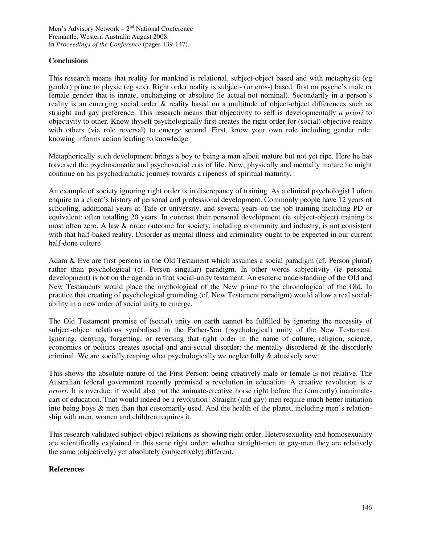# **Conclusions**

This research means that reality for mankind is relational, subject-object based and with metaphysic (eg gender) prime to physic (eg sex). Right order reality is subject- (or eros-) based: first on psyche's male or female gender that is innate, unchanging or absolute (ie actual not nominal). Secondarily in a person's reality is an emerging social order & reality based on a multitude of object-object differences such as straight and gay preference. This research means that objectivity to self is developmentally *a priori* to objectivity to other. Know thyself psychologically first creates the right order for (social) objective reality with others (via role reversal) to emerge second. First, know your own role including gender role: knowing informs action leading to knowledge.

Metaphorically such development brings a boy to being a man albeit mature but not yet ripe. Here he has traversed the psychosomatic and psychosocial eras of life. Now, physically and mentally mature he might continue on his psychodramatic journey towards a ripeness of spiritual maturity.

An example of society ignoring right order is in discrepancy of training. As a clinical psychologist I often enquire to a client's history of personal and professional development. Commonly people have 12 years of schooling, additional years at Tafe or university, and several years on the job training including PD or equivalent: often totalling 20 years. In contrast their personal development (ie subject-object) training is most often zero. A law & order outcome for society, including community and industry, is not consistent with that half-baked reality. Disorder as mental illness and criminality ought to be expected in our current half-done culture

Adam & Eve are first persons in the Old Testament which assumes a social paradigm (cf. Person plural) rather than psychological (cf. Person singular) paradigm. In other words subjectivity (ie personal development) is not on the agenda in that social-unity testament. An esoteric understanding of the Old and New Testaments would place the mythological of the New prime to the chronological of the Old. In practice that creating of psychological grounding (cf. New Testament paradigm) would allow a real socialability in a new order of social unity to emerge.

The Old Testament promise of (social) unity on earth cannot be fulfilled by ignoring the necessity of subject-object relations symbolised in the Father-Son (psychological) unity of the New Testament. Ignoring, denying, forgetting, or reversing that right order in the name of culture, religion, science, economics or politics creates asocial and anti-social disorder; the mentally disordered & the disorderly criminal. We are socially reaping what psychologically we neglectfully  $\&$  abusively sow.

This shows the absolute nature of the First Person: being creatively male or female is not relative. The Australian federal government recently promised a revolution in education. A creative revolution is *a priori*. It is overdue: it would also put the animate-creative horse right before the (currently) inanimatecart of education. That would indeed be a revolution! Straight (and gay) men require much better initiation into being boys & men than that customarily used. And the health of the planet, including men's relationship with men, women and children requires it.

This research validated subject-object relations as showing right order. Heterosexuality and homosexuality are scientifically explained in this same right order: whether straight-men or gay-men they are relatively the same (objectively) yet absolutely (subjectively) different.

## **References**